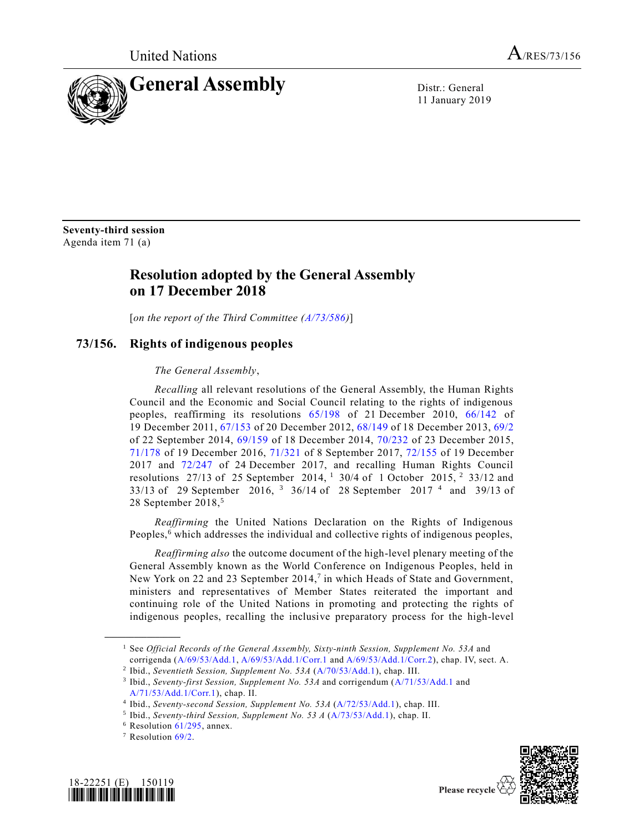

11 January 2019

**Seventy-third session** Agenda item 71 (a)

## **Resolution adopted by the General Assembly on 17 December 2018**

[*on the report of the Third Committee [\(A/73/586\)](https://undocs.org/A/73/586)*]

## **73/156. Rights of indigenous peoples**

*The General Assembly*,

*Recalling* all relevant resolutions of the General Assembly, the Human Rights Council and the Economic and Social Council relating to the rights of indigenous peoples, reaffirming its resolutions [65/198](https://undocs.org/A/RES/65/198) of 21 December 2010, [66/142](https://undocs.org/A/RES/66/142) of 19 December 2011, [67/153](https://undocs.org/A/RES/67/153) of 20 December 2012, [68/149](https://undocs.org/A/RES/68/149) of 18 December 2013, [69/2](https://undocs.org/A/RES/69/2) of 22 September 2014, [69/159](https://undocs.org/A/RES/69/159) of 18 December 2014, [70/232](https://undocs.org/A/RES/70/232) of 23 December 2015, [71/178](https://undocs.org/A/RES/71/178) of 19 December 2016, [71/321](https://undocs.org/A/RES/71/321) of 8 September 2017, [72/155](https://undocs.org/A/RES/72/155) of 19 December 2017 and [72/247](https://undocs.org/A/RES/72/247) of 24 December 2017, and recalling Human Rights Council resolutions 27/13 of 25 September 2014, <sup>1</sup> 30/4 of 1 October 2015, <sup>2</sup> 33/12 and 33/13 of 29 September 2016, <sup>3</sup> 36/14 of 28 September 2017<sup>4</sup> and 39/13 of 28 September 2018,<sup>5</sup>

*Reaffirming* the United Nations Declaration on the Rights of Indigenous Peoples,<sup>6</sup> which addresses the individual and collective rights of indigenous peoples,

*Reaffirming also* the outcome document of the high-level plenary meeting of the General Assembly known as the World Conference on Indigenous Peoples, held in New York on 22 and 23 September 2014,<sup>7</sup> in which Heads of State and Government, ministers and representatives of Member States reiterated the important and continuing role of the United Nations in promoting and protecting the rights of indigenous peoples, recalling the inclusive preparatory process for the high-level





<sup>1</sup> See *Official Records of the General Assembly, Sixty-ninth Session, Supplement No. 53A* and corrigenda [\(A/69/53/Add.1,](https://undocs.org/A/69/53/Add.1) [A/69/53/Add.1/Corr.1](https://undocs.org/A/69/53/Add.1/Corr.1) and [A/69/53/Add.1/Corr.2\)](https://undocs.org/A/69/53/Add.1/Corr.2), chap. IV, sect. A.

<sup>2</sup> Ibid., *Seventieth Session, Supplement No. 53A* [\(A/70/53/Add.1\)](https://undocs.org/A/70/53/Add.1), chap. III.

<sup>&</sup>lt;sup>3</sup> Ibid., *Seventy-first Session, Supplement No.* 53A and corrigendum [\(A/71/53/Add.1](https://undocs.org/A/71/53/Add.1) and [A/71/53/Add.1/Corr.1\)](https://undocs.org/A/71/53/Add.1/Corr.1), chap. II.

<sup>4</sup> Ibid., *Seventy-second Session, Supplement No. 53A* [\(A/72/53/Add.1\)](https://undocs.org/A/72/53/Add.1), chap. III.

<sup>5</sup> Ibid., *Seventy-third Session, Supplement No. 53 A* [\(A/73/53/Add.1\)](https://undocs.org/A/73/53/Add.1), chap. II.

 $6$  Resolution  $61/295$ , annex.

<sup>7</sup> Resolution [69/2.](https://undocs.org/A/RES/69/2)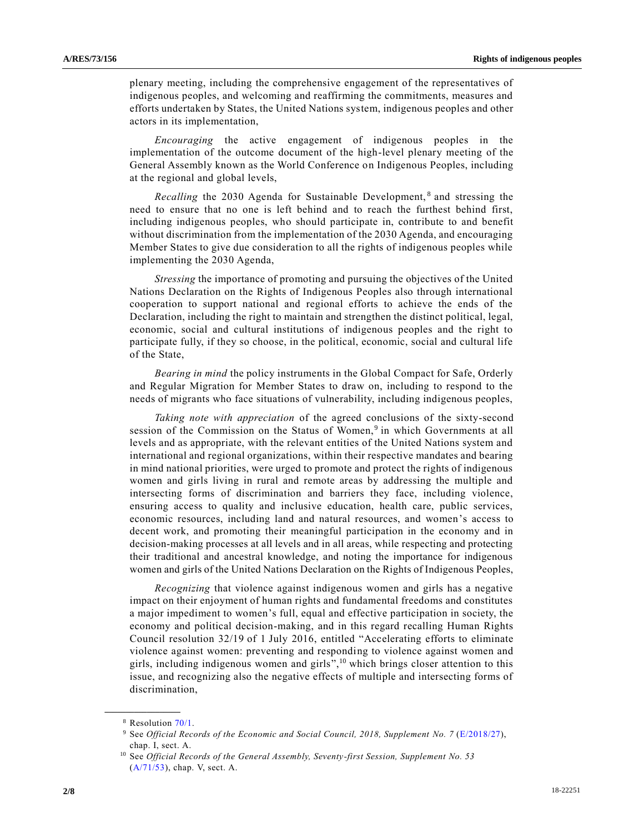plenary meeting, including the comprehensive engagement of the representatives of indigenous peoples, and welcoming and reaffirming the commitments, measures and efforts undertaken by States, the United Nations system, indigenous peoples and other actors in its implementation,

*Encouraging* the active engagement of indigenous peoples in the implementation of the outcome document of the high-level plenary meeting of the General Assembly known as the World Conference on Indigenous Peoples, including at the regional and global levels,

Recalling the 2030 Agenda for Sustainable Development,<sup>8</sup> and stressing the need to ensure that no one is left behind and to reach the furthest behind first, including indigenous peoples, who should participate in, contribute to and benefit without discrimination from the implementation of the 2030 Agenda, and encouraging Member States to give due consideration to all the rights of indigenous peoples while implementing the 2030 Agenda,

*Stressing* the importance of promoting and pursuing the objectives of the United Nations Declaration on the Rights of Indigenous Peoples also through international cooperation to support national and regional efforts to achieve the ends of the Declaration, including the right to maintain and strengthen the distinct political, legal, economic, social and cultural institutions of indigenous peoples and the right to participate fully, if they so choose, in the political, economic, social and cultural life of the State,

*Bearing in mind* the policy instruments in the Global Compact for Safe, Orderly and Regular Migration for Member States to draw on, including to respond to the needs of migrants who face situations of vulnerability, including indigenous peoples,

*Taking note with appreciation* of the agreed conclusions of the sixty-second session of the Commission on the Status of Women,<sup>9</sup> in which Governments at all levels and as appropriate, with the relevant entities of the United Nations system and international and regional organizations, within their respective mandates and bearing in mind national priorities, were urged to promote and protect the rights of indigenous women and girls living in rural and remote areas by addressing the multiple and intersecting forms of discrimination and barriers they face, including violence, ensuring access to quality and inclusive education, health care, public services, economic resources, including land and natural resources, and women's access to decent work, and promoting their meaningful participation in the economy and in decision-making processes at all levels and in all areas, while respecting and protecting their traditional and ancestral knowledge, and noting the importance for indigenous women and girls of the United Nations Declaration on the Rights of Indigenous Peoples,

*Recognizing* that violence against indigenous women and girls has a negative impact on their enjoyment of human rights and fundamental freedoms and constitutes a major impediment to women's full, equal and effective participation in society, the economy and political decision-making, and in this regard recalling Human Rights Council resolution 32/19 of 1 July 2016, entitled "Accelerating efforts to eliminate violence against women: preventing and responding to violence against women and girls, including indigenous women and girls",<sup>10</sup> which brings closer attention to this issue, and recognizing also the negative effects of multiple and intersecting forms of discrimination,

<sup>8</sup> Resolution [70/1.](https://undocs.org/A/RES/70/1)

<sup>9</sup> See *Official Records of the Economic and Social Council, 2018, Supplement No. 7* [\(E/2018/27\)](https://undocs.org/E/2017/27), chap. I, sect. A.

<sup>10</sup> See *Official Records of the General Assembly, Seventy-first Session, Supplement No. 53* [\(A/71/53\)](https://undocs.org/A/71/53), chap. V, sect. A.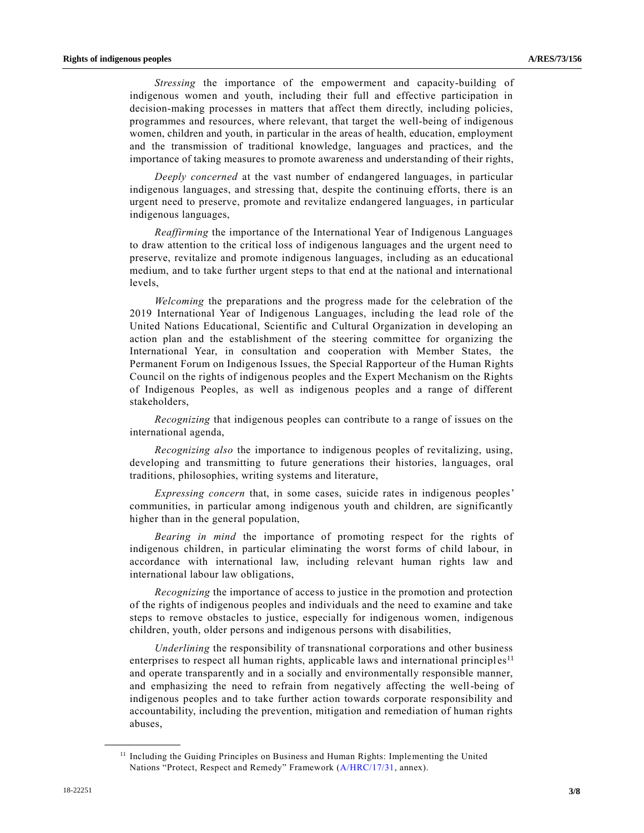*Stressing* the importance of the empowerment and capacity-building of indigenous women and youth, including their full and effective participation in decision-making processes in matters that affect them directly, including policies, programmes and resources, where relevant, that target the well-being of indigenous women, children and youth, in particular in the areas of health, education, employment and the transmission of traditional knowledge, languages and practices, and the importance of taking measures to promote awareness and understanding of their rights,

*Deeply concerned* at the vast number of endangered languages, in particular indigenous languages, and stressing that, despite the continuing efforts, there is an urgent need to preserve, promote and revitalize endangered languages, in particular indigenous languages,

*Reaffirming* the importance of the International Year of Indigenous Languages to draw attention to the critical loss of indigenous languages and the urgent need to preserve, revitalize and promote indigenous languages, including as an educational medium, and to take further urgent steps to that end at the national and international levels,

*Welcoming* the preparations and the progress made for the celebration of the 2019 International Year of Indigenous Languages, including the lead role of the United Nations Educational, Scientific and Cultural Organization in developing an action plan and the establishment of the steering committee for organizing the International Year, in consultation and cooperation with Member States, the Permanent Forum on Indigenous Issues, the Special Rapporteur of the Human Rights Council on the rights of indigenous peoples and the Expert Mechanism on the Rights of Indigenous Peoples, as well as indigenous peoples and a range of different stakeholders,

*Recognizing* that indigenous peoples can contribute to a range of issues on the international agenda,

*Recognizing also* the importance to indigenous peoples of revitalizing, using, developing and transmitting to future generations their histories, languages, oral traditions, philosophies, writing systems and literature,

*Expressing concern* that, in some cases, suicide rates in indigenous peoples' communities, in particular among indigenous youth and children, are significantly higher than in the general population,

*Bearing in mind* the importance of promoting respect for the rights of indigenous children, in particular eliminating the worst forms of child labour, in accordance with international law, including relevant human rights law and international labour law obligations,

*Recognizing* the importance of access to justice in the promotion and protection of the rights of indigenous peoples and individuals and the need to examine and take steps to remove obstacles to justice, especially for indigenous women, indigenous children, youth, older persons and indigenous persons with disabilities,

*Underlining* the responsibility of transnational corporations and other business enterprises to respect all human rights, applicable laws and international principles<sup>11</sup> and operate transparently and in a socially and environmentally responsible manner, and emphasizing the need to refrain from negatively affecting the well-being of indigenous peoples and to take further action towards corporate responsibility and accountability, including the prevention, mitigation and remediation of human rights abuses,

<sup>&</sup>lt;sup>11</sup> Including the Guiding Principles on Business and Human Rights: Implementing the United Nations "Protect, Respect and Remedy" Framework [\(A/HRC/17/31,](https://undocs.org/A/HRC/17/31) annex).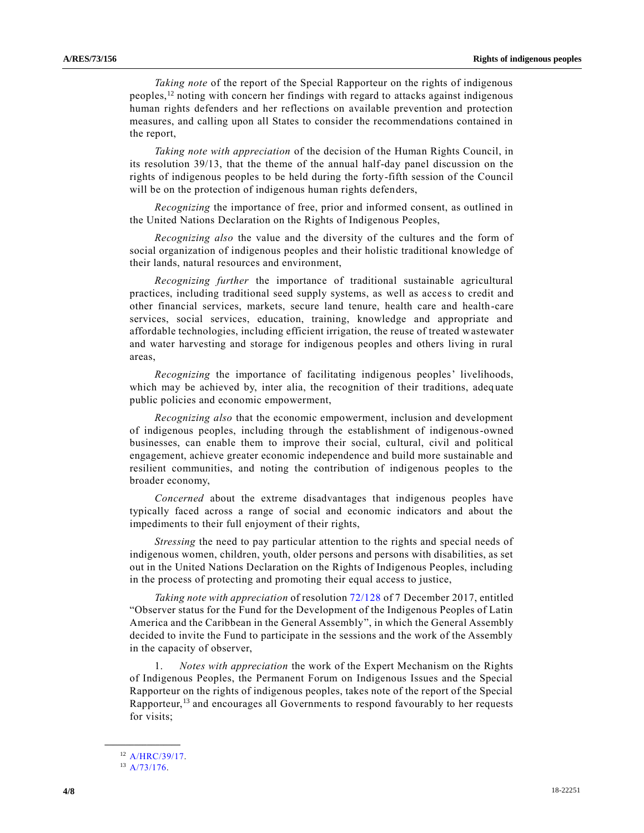*Taking note* of the report of the Special Rapporteur on the rights of indigenous peoples, $\frac{12}{2}$  noting with concern her findings with regard to attacks against indigenous human rights defenders and her reflections on available prevention and protection measures, and calling upon all States to consider the recommendations contained in the report,

*Taking note with appreciation* of the decision of the Human Rights Council, in its resolution 39/13, that the theme of the annual half-day panel discussion on the rights of indigenous peoples to be held during the forty-fifth session of the Council will be on the protection of indigenous human rights defenders,

*Recognizing* the importance of free, prior and informed consent, as outlined in the United Nations Declaration on the Rights of Indigenous Peoples,

*Recognizing also* the value and the diversity of the cultures and the form of social organization of indigenous peoples and their holistic traditional knowledge of their lands, natural resources and environment,

*Recognizing further* the importance of traditional sustainable agricultural practices, including traditional seed supply systems, as well as access to credit and other financial services, markets, secure land tenure, health care and health-care services, social services, education, training, knowledge and appropriate and affordable technologies, including efficient irrigation, the reuse of treated wastewater and water harvesting and storage for indigenous peoples and others living in rural areas,

*Recognizing* the importance of facilitating indigenous peoples' livelihoods, which may be achieved by, inter alia, the recognition of their traditions, adequate public policies and economic empowerment,

*Recognizing also* that the economic empowerment, inclusion and development of indigenous peoples, including through the establishment of indigenous-owned businesses, can enable them to improve their social, cultural, civil and political engagement, achieve greater economic independence and build more sustainable and resilient communities, and noting the contribution of indigenous peoples to the broader economy,

*Concerned* about the extreme disadvantages that indigenous peoples have typically faced across a range of social and economic indicators and about the impediments to their full enjoyment of their rights,

*Stressing* the need to pay particular attention to the rights and special needs of indigenous women, children, youth, older persons and persons with disabilities, as set out in the United Nations Declaration on the Rights of Indigenous Peoples, including in the process of protecting and promoting their equal access to justice,

*Taking note with appreciation* of resolutio[n 72/128](https://undocs.org/A/RES/72/128) of 7 December 2017, entitled "Observer status for the Fund for the Development of the Indigenous Peoples of Latin America and the Caribbean in the General Assembly", in which the General Assembly decided to invite the Fund to participate in the sessions and the work of the Assembly in the capacity of observer,

1. *Notes with appreciation* the work of the Expert Mechanism on the Rights of Indigenous Peoples, the Permanent Forum on Indigenous Issues and the Special Rapporteur on the rights of indigenous peoples, takes note of the report of the Special Rapporteur,<sup>13</sup> and encourages all Governments to respond favourably to her requests for visits;

<sup>12</sup> [A/HRC/39/17.](https://undocs.org/A/HRC/39/17)

<sup>13</sup> [A/73/176.](https://undocs.org/A/73/176)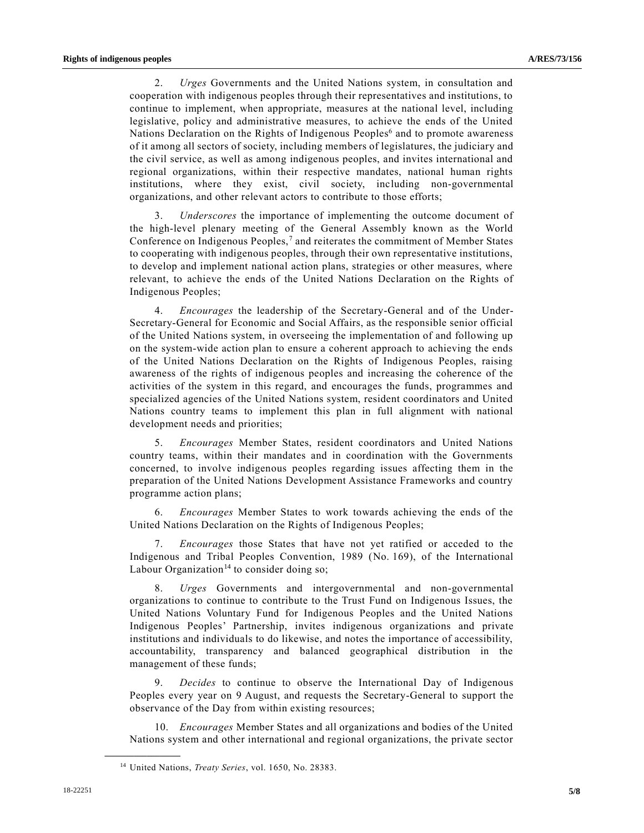2. *Urges* Governments and the United Nations system, in consultation and cooperation with indigenous peoples through their representatives and institutions, to continue to implement, when appropriate, measures at the national level, including legislative, policy and administrative measures, to achieve the ends of the United Nations Declaration on the Rights of Indigenous Peoples<sup>6</sup> and to promote awareness of it among all sectors of society, including members of legislatures, the judiciary and the civil service, as well as among indigenous peoples, and invites international and regional organizations, within their respective mandates, national human rights institutions, where they exist, civil society, including non-governmental organizations, and other relevant actors to contribute to those efforts;

3. *Underscores* the importance of implementing the outcome document of the high-level plenary meeting of the General Assembly known as the World Conference on Indigenous Peoples, $^7$  and reiterates the commitment of Member States to cooperating with indigenous peoples, through their own representative institutions, to develop and implement national action plans, strategies or other measures, where relevant, to achieve the ends of the United Nations Declaration on the Rights of Indigenous Peoples;

4. *Encourages* the leadership of the Secretary-General and of the Under-Secretary-General for Economic and Social Affairs, as the responsible senior official of the United Nations system, in overseeing the implementation of and following up on the system-wide action plan to ensure a coherent approach to achieving the ends of the United Nations Declaration on the Rights of Indigenous Peoples, raising awareness of the rights of indigenous peoples and increasing the coherence of the activities of the system in this regard, and encourages the funds, programmes and specialized agencies of the United Nations system, resident coordinators and United Nations country teams to implement this plan in full alignment with national development needs and priorities;

5. *Encourages* Member States, resident coordinators and United Nations country teams, within their mandates and in coordination with the Governments concerned, to involve indigenous peoples regarding issues affecting them in the preparation of the United Nations Development Assistance Frameworks and country programme action plans;

6. *Encourages* Member States to work towards achieving the ends of the United Nations Declaration on the Rights of Indigenous Peoples;

7. *Encourages* those States that have not yet ratified or acceded to the Indigenous and Tribal Peoples Convention, 1989 (No. 169), of the International Labour Organization<sup>14</sup> to consider doing so;

8. *Urges* Governments and intergovernmental and non-governmental organizations to continue to contribute to the Trust Fund on Indigenous Issues, the United Nations Voluntary Fund for Indigenous Peoples and the United Nations Indigenous Peoples' Partnership, invites indigenous organizations and private institutions and individuals to do likewise, and notes the importance of accessibility, accountability, transparency and balanced geographical distribution in the management of these funds;

9. *Decides* to continue to observe the International Day of Indigenous Peoples every year on 9 August, and requests the Secretary-General to support the observance of the Day from within existing resources;

10. *Encourages* Member States and all organizations and bodies of the United Nations system and other international and regional organizations, the private sector

<sup>14</sup> United Nations, *Treaty Series*, vol. 1650, No. 28383.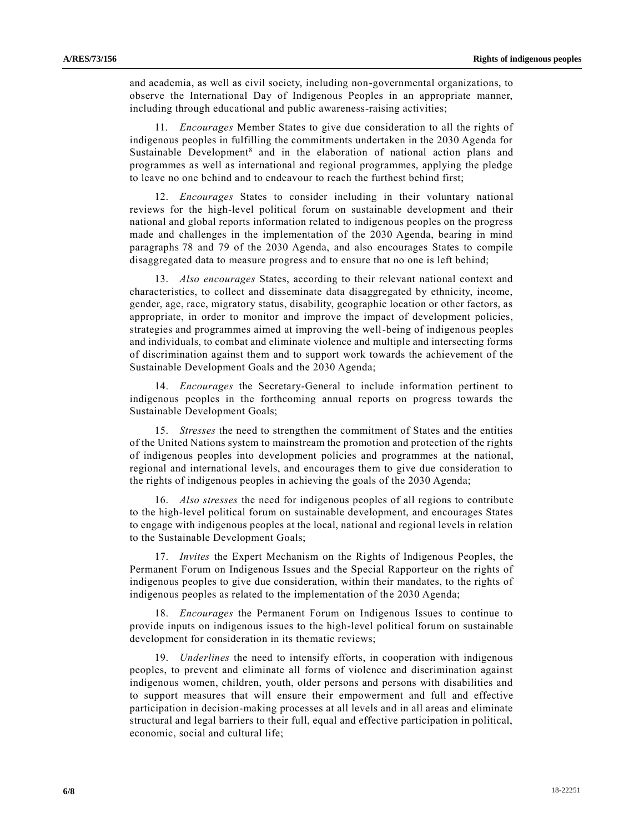and academia, as well as civil society, including non-governmental organizations, to observe the International Day of Indigenous Peoples in an appropriate manner, including through educational and public awareness-raising activities;

11. *Encourages* Member States to give due consideration to all the rights of indigenous peoples in fulfilling the commitments undertaken in the 2030 Agenda for Sustainable Development<sup>8</sup> and in the elaboration of national action plans and programmes as well as international and regional programmes, applying the pledge to leave no one behind and to endeavour to reach the furthest behind first;

12. *Encourages* States to consider including in their voluntary national reviews for the high-level political forum on sustainable development and their national and global reports information related to indigenous peoples on the progress made and challenges in the implementation of the 2030 Agenda, bearing in mind paragraphs 78 and 79 of the 2030 Agenda, and also encourages States to compile disaggregated data to measure progress and to ensure that no one is left behind;

13. *Also encourages* States, according to their relevant national context and characteristics, to collect and disseminate data disaggregated by ethnicity, income, gender, age, race, migratory status, disability, geographic location or other factors, as appropriate, in order to monitor and improve the impact of development policies, strategies and programmes aimed at improving the well-being of indigenous peoples and individuals, to combat and eliminate violence and multiple and intersecting forms of discrimination against them and to support work towards the achievement of the Sustainable Development Goals and the 2030 Agenda;

14. *Encourages* the Secretary-General to include information pertinent to indigenous peoples in the forthcoming annual reports on progress towards the Sustainable Development Goals;

15. *Stresses* the need to strengthen the commitment of States and the entities of the United Nations system to mainstream the promotion and protection of the rights of indigenous peoples into development policies and programmes at the national, regional and international levels, and encourages them to give due consideration to the rights of indigenous peoples in achieving the goals of the 2030 Agenda;

16. *Also stresses* the need for indigenous peoples of all regions to contribute to the high-level political forum on sustainable development, and encourages States to engage with indigenous peoples at the local, national and regional levels in relation to the Sustainable Development Goals;

17. *Invites* the Expert Mechanism on the Rights of Indigenous Peoples, the Permanent Forum on Indigenous Issues and the Special Rapporteur on the rights of indigenous peoples to give due consideration, within their mandates, to the rights of indigenous peoples as related to the implementation of the 2030 Agenda;

18. *Encourages* the Permanent Forum on Indigenous Issues to continue to provide inputs on indigenous issues to the high-level political forum on sustainable development for consideration in its thematic reviews;

19. *Underlines* the need to intensify efforts, in cooperation with indigenous peoples, to prevent and eliminate all forms of violence and discrimination against indigenous women, children, youth, older persons and persons with disabilities and to support measures that will ensure their empowerment and full and effective participation in decision-making processes at all levels and in all areas and eliminate structural and legal barriers to their full, equal and effective participation in political, economic, social and cultural life;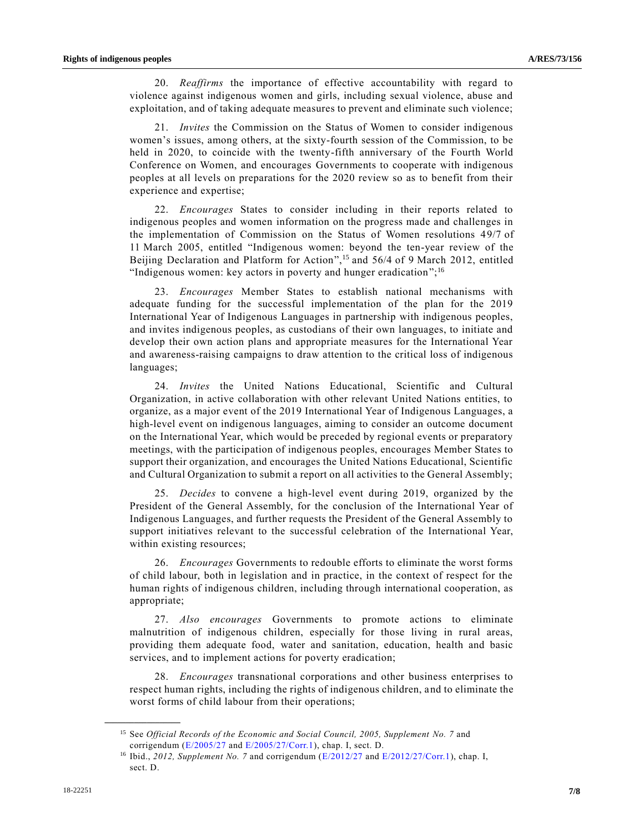20. *Reaffirms* the importance of effective accountability with regard to violence against indigenous women and girls, including sexual violence, abuse and exploitation, and of taking adequate measures to prevent and eliminate such violence;

21. *Invites* the Commission on the Status of Women to consider indigenous women's issues, among others, at the sixty-fourth session of the Commission, to be held in 2020, to coincide with the twenty-fifth anniversary of the Fourth World Conference on Women, and encourages Governments to cooperate with indigenous peoples at all levels on preparations for the 2020 review so as to benefit from their experience and expertise;

22. *Encourages* States to consider including in their reports related to indigenous peoples and women information on the progress made and challenges in the implementation of Commission on the Status of Women resolutions 49/7 of 11 March 2005, entitled "Indigenous women: beyond the ten-year review of the Beijing Declaration and Platform for Action",<sup>15</sup> and 56/4 of 9 March 2012, entitled "Indigenous women: key actors in poverty and hunger eradication";<sup>16</sup>

23. *Encourages* Member States to establish national mechanisms with adequate funding for the successful implementation of the plan for the 2019 International Year of Indigenous Languages in partnership with indigenous peoples, and invites indigenous peoples, as custodians of their own languages, to initiate and develop their own action plans and appropriate measures for the International Year and awareness-raising campaigns to draw attention to the critical loss of indigenous languages;

24. *Invites* the United Nations Educational, Scientific and Cultural Organization, in active collaboration with other relevant United Nations entities, to organize, as a major event of the 2019 International Year of Indigenous Languages, a high-level event on indigenous languages, aiming to consider an outcome document on the International Year, which would be preceded by regional events or preparatory meetings, with the participation of indigenous peoples, encourages Member States to support their organization, and encourages the United Nations Educational, Scientific and Cultural Organization to submit a report on all activities to the General Assembly;

25. *Decides* to convene a high-level event during 2019, organized by the President of the General Assembly, for the conclusion of the International Year of Indigenous Languages, and further requests the President of the General Assembly to support initiatives relevant to the successful celebration of the International Year, within existing resources;

26. *Encourages* Governments to redouble efforts to eliminate the worst forms of child labour, both in legislation and in practice, in the context of respect for the human rights of indigenous children, including through international cooperation, as appropriate;

27. *Also encourages* Governments to promote actions to eliminate malnutrition of indigenous children, especially for those living in rural areas, providing them adequate food, water and sanitation, education, health and basic services, and to implement actions for poverty eradication;

28. *Encourages* transnational corporations and other business enterprises to respect human rights, including the rights of indigenous children, and to eliminate the worst forms of child labour from their operations;

<sup>15</sup> See *Official Records of the Economic and Social Council, 2005, Supplement No. 7* and corrigendum [\(E/2005/27](https://undocs.org/E/2005/27) and [E/2005/27/Corr.1\)](https://undocs.org/E/2005/27/Corr.1), chap. I, sect. D.

<sup>16</sup> Ibid., *2012, Supplement No. 7* and corrigendum [\(E/2012/27](https://undocs.org/E/2012/27) and [E/2012/27/Corr.1\)](https://undocs.org/E/2012/27/Corr.1), chap. I, sect. D.